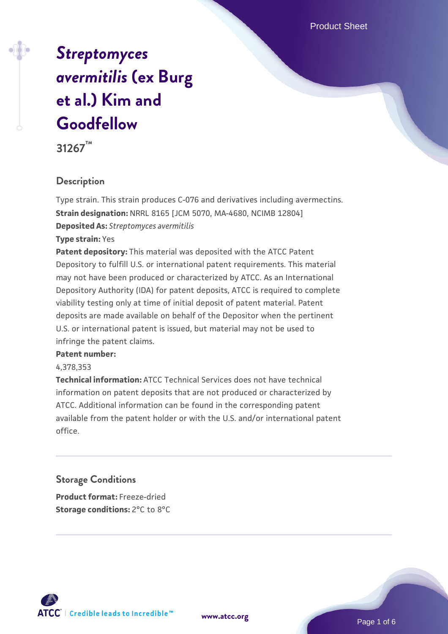Product Sheet

# *[Streptomyces](https://www.atcc.org/products/31267) [avermitilis](https://www.atcc.org/products/31267)* **[\(ex Burg](https://www.atcc.org/products/31267) [et al.\) Kim and](https://www.atcc.org/products/31267) [Goodfellow](https://www.atcc.org/products/31267)**

**31267™**

## **Description**

Type strain. This strain produces C-076 and derivatives including avermectins. **Strain designation:** NRRL 8165 [JCM 5070, MA-4680, NCIMB 12804] **Deposited As:** *Streptomyces avermitilis*

**Type strain:** Yes

**Patent depository:** This material was deposited with the ATCC Patent Depository to fulfill U.S. or international patent requirements. This material may not have been produced or characterized by ATCC. As an International Depository Authority (IDA) for patent deposits, ATCC is required to complete viability testing only at time of initial deposit of patent material. Patent deposits are made available on behalf of the Depositor when the pertinent U.S. or international patent is issued, but material may not be used to infringe the patent claims.

#### **Patent number:**

#### 4,378,353

**Technical information:** ATCC Technical Services does not have technical information on patent deposits that are not produced or characterized by ATCC. Additional information can be found in the corresponding patent available from the patent holder or with the U.S. and/or international patent office.

## **Storage Conditions**

**Product format:** Freeze-dried **Storage conditions:** 2°C to 8°C

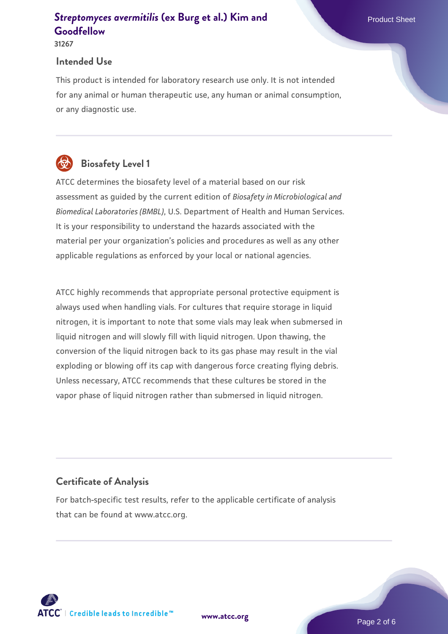#### **31267**

#### **Intended Use**

This product is intended for laboratory research use only. It is not intended for any animal or human therapeutic use, any human or animal consumption, or any diagnostic use.

# **Biosafety Level 1**

ATCC determines the biosafety level of a material based on our risk assessment as guided by the current edition of *Biosafety in Microbiological and Biomedical Laboratories (BMBL)*, U.S. Department of Health and Human Services. It is your responsibility to understand the hazards associated with the material per your organization's policies and procedures as well as any other applicable regulations as enforced by your local or national agencies.

ATCC highly recommends that appropriate personal protective equipment is always used when handling vials. For cultures that require storage in liquid nitrogen, it is important to note that some vials may leak when submersed in liquid nitrogen and will slowly fill with liquid nitrogen. Upon thawing, the conversion of the liquid nitrogen back to its gas phase may result in the vial exploding or blowing off its cap with dangerous force creating flying debris. Unless necessary, ATCC recommends that these cultures be stored in the vapor phase of liquid nitrogen rather than submersed in liquid nitrogen.

## **Certificate of Analysis**

For batch-specific test results, refer to the applicable certificate of analysis that can be found at www.atcc.org.

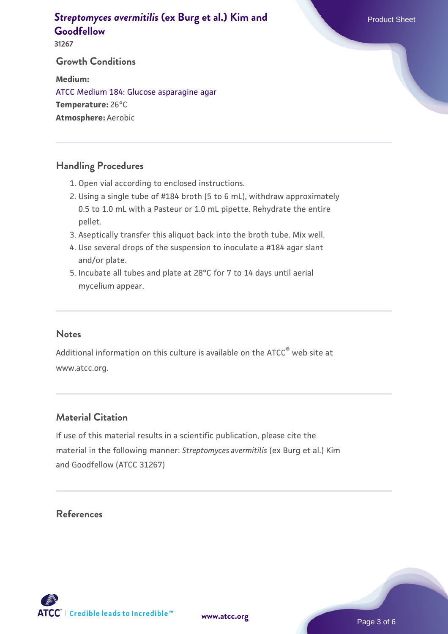**31267**

#### **Growth Conditions**

**Medium:**  [ATCC Medium 184: Glucose asparagine agar](https://www.atcc.org/-/media/product-assets/documents/microbial-media-formulations/atcc-medium-184.pdf?rev=75e29c5c487a4f8daaf5709b2622ac02) **Temperature:** 26°C **Atmosphere:** Aerobic

### **Handling Procedures**

- 1. Open vial according to enclosed instructions.
- 2. Using a single tube of #184 broth (5 to 6 mL), withdraw approximately 0.5 to 1.0 mL with a Pasteur or 1.0 mL pipette. Rehydrate the entire pellet.
- 3. Aseptically transfer this aliquot back into the broth tube. Mix well.
- 4. Use several drops of the suspension to inoculate a #184 agar slant and/or plate.
- 5. Incubate all tubes and plate at 28°C for 7 to 14 days until aerial mycelium appear.

#### **Notes**

Additional information on this culture is available on the ATCC<sup>®</sup> web site at www.atcc.org.

## **Material Citation**

If use of this material results in a scientific publication, please cite the material in the following manner: *Streptomyces avermitilis* (ex Burg et al.) Kim and Goodfellow (ATCC 31267)

## **References**

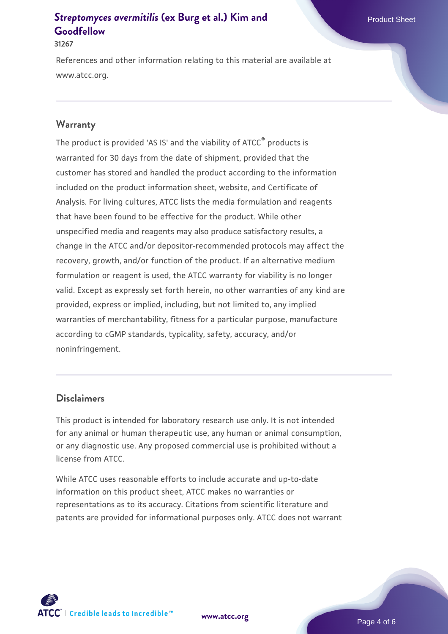#### **31267**

References and other information relating to this material are available at www.atcc.org.

#### **Warranty**

The product is provided 'AS IS' and the viability of ATCC<sup>®</sup> products is warranted for 30 days from the date of shipment, provided that the customer has stored and handled the product according to the information included on the product information sheet, website, and Certificate of Analysis. For living cultures, ATCC lists the media formulation and reagents that have been found to be effective for the product. While other unspecified media and reagents may also produce satisfactory results, a change in the ATCC and/or depositor-recommended protocols may affect the recovery, growth, and/or function of the product. If an alternative medium formulation or reagent is used, the ATCC warranty for viability is no longer valid. Except as expressly set forth herein, no other warranties of any kind are provided, express or implied, including, but not limited to, any implied warranties of merchantability, fitness for a particular purpose, manufacture according to cGMP standards, typicality, safety, accuracy, and/or noninfringement.

#### **Disclaimers**

This product is intended for laboratory research use only. It is not intended for any animal or human therapeutic use, any human or animal consumption, or any diagnostic use. Any proposed commercial use is prohibited without a license from ATCC.

While ATCC uses reasonable efforts to include accurate and up-to-date information on this product sheet, ATCC makes no warranties or representations as to its accuracy. Citations from scientific literature and patents are provided for informational purposes only. ATCC does not warrant



**[www.atcc.org](http://www.atcc.org)**

Page 4 of 6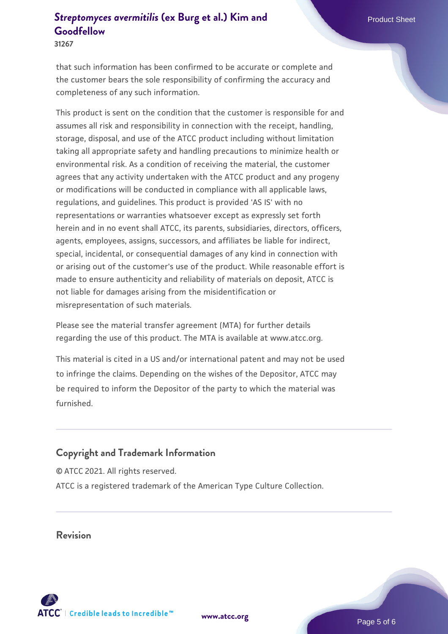**31267**

that such information has been confirmed to be accurate or complete and the customer bears the sole responsibility of confirming the accuracy and completeness of any such information.

This product is sent on the condition that the customer is responsible for and assumes all risk and responsibility in connection with the receipt, handling, storage, disposal, and use of the ATCC product including without limitation taking all appropriate safety and handling precautions to minimize health or environmental risk. As a condition of receiving the material, the customer agrees that any activity undertaken with the ATCC product and any progeny or modifications will be conducted in compliance with all applicable laws, regulations, and guidelines. This product is provided 'AS IS' with no representations or warranties whatsoever except as expressly set forth herein and in no event shall ATCC, its parents, subsidiaries, directors, officers, agents, employees, assigns, successors, and affiliates be liable for indirect, special, incidental, or consequential damages of any kind in connection with or arising out of the customer's use of the product. While reasonable effort is made to ensure authenticity and reliability of materials on deposit, ATCC is not liable for damages arising from the misidentification or misrepresentation of such materials.

Please see the material transfer agreement (MTA) for further details regarding the use of this product. The MTA is available at www.atcc.org.

This material is cited in a US and/or international patent and may not be used to infringe the claims. Depending on the wishes of the Depositor, ATCC may be required to inform the Depositor of the party to which the material was furnished.

#### **Copyright and Trademark Information**

© ATCC 2021. All rights reserved. ATCC is a registered trademark of the American Type Culture Collection.

**Revision**



**[www.atcc.org](http://www.atcc.org)**